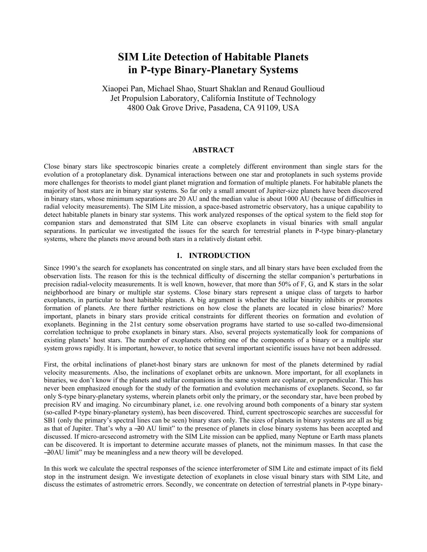# **SIM Lite Detection of Habitable Planets in P-type Binary-Planetary Systems**

Xiaopei Pan, Michael Shao, Stuart Shaklan and Renaud Goullioud Jet Propulsion Laboratory, California Institute of Technology 4800 Oak Grove Drive, Pasadena, CA 91109, USA

# **ABSTRACT**

Close binary stars like spectroscopic binaries create a completely different environment than single stars for the evolution of a protoplanetary disk. Dynamical interactions between one star and protoplanets in such systems provide more challenges for theorists to model giant planet migration and formation of multiple planets. For habitable planets the majority of host stars are in binary star systems. So far only a small amount of Jupiter-size planets have been discovered in binary stars, whose minimum separations are 20 AU and the median value is about 1000 AU (because of difficulties in radial velocity measurements). The SIM Lite mission, a space-based astrometric observatory, has a unique capability to detect habitable planets in binary star systems. This work analyzed responses of the optical system to the field stop for companion stars and demonstrated that SIM Lite can observe exoplanets in visual binaries with small angular separations. In particular we investigated the issues for the search for terrestrial planets in P-type binary-planetary systems, where the planets move around both stars in a relatively distant orbit.

#### **1. INTRODUCTION**

Since 1990's the search for exoplanets has concentrated on single stars, and all binary stars have been excluded from the observation lists. The reason for this is the technical difficulty of discerning the stellar companion's perturbations in precision radial-velocity measurements. It is well known, however, that more than 50% of F, G, and K stars in the solar neighborhood are binary or multiple star systems. Close binary stars represent a unique class of targets to harbor exoplanets, in particular to host habitable planets. A big argument is whether the stellar binarity inhibits or promotes formation of planets. Are there further restrictions on how close the planets are located in close binaries? More important, planets in binary stars provide critical constraints for different theories on formation and evolution of exoplanets. Beginning in the 21st century some observation programs have started to use so-called two-dimensional correlation technique to probe exoplanets in binary stars. Also, several projects systematically look for companions of existing planets' host stars. The number of exoplanets orbiting one of the components of a binary or a multiple star system grows rapidly. It is important, however, to notice that several important scientific issues have not been addressed.

First, the orbital inclinations of planet-host binary stars are unknown for most of the planets determined by radial velocity measurements. Also, the inclinations of exoplanet orbits are unknown. More important, for all exoplanets in binaries, we don't know if the planets and stellar companions in the same system are coplanar, or perpendicular. This has never been emphasized enough for the study of the formation and evolution mechanisms of exoplanets. Second, so far only S-type binary-planetary systems, wherein planets orbit only the primary, or the secondary star, have been probed by precision RV and imaging. No circumbinary planet, i.e. one revolving around both components of a binary star system (so-called P-type binary-planetary system), has been discovered. Third, current spectroscopic searches are successful for SB1 (only the primary's spectral lines can be seen) binary stars only. The sizes of planets in binary systems are all as big as that of Jupiter. That's why a –20 AU limit" to the presence of planets in close binary systems has been accepted and discussed. If micro-arcsecond astrometry with the SIM Lite mission can be applied, many Neptune or Earth mass planets can be discovered. It is important to determine accurate masses of planets, not the minimum masses. In that case the  $-20$ AU limit" may be meaningless and a new theory will be developed.

In this work we calculate the spectral responses of the science interferometer of SIM Lite and estimate impact of its field stop in the instrument design. We investigate detection of exoplanets in close visual binary stars with SIM Lite, and discuss the estimates of astrometric errors. Secondly, we concentrate on detection of terrestrial planets in P-type binary-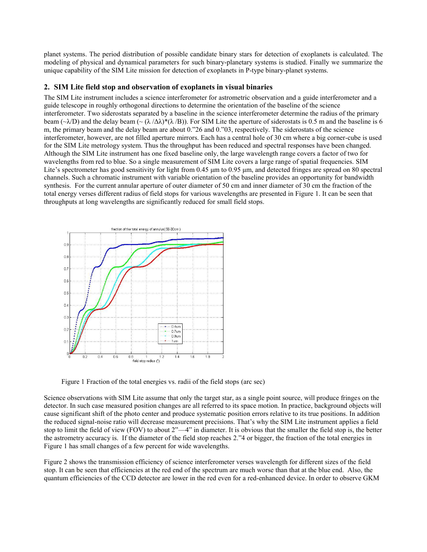planet systems. The period distribution of possible candidate binary stars for detection of exoplanets is calculated. The modeling of physical and dynamical parameters for such binary-planetary systems is studied. Finally we summarize the unique capability of the SIM Lite mission for detection of exoplanets in P-type binary-planet systems.

## **2. SIM Lite field stop and observation of exoplanets in visual binaries**

The SIM Lite instrument includes a science interferometer for astrometric observation and a guide interferometer and a guide telescope in roughly orthogonal directions to determine the orientation of the baseline of the science interferometer. Two siderostats separated by a baseline in the science interferometer determine the radius of the primary beam ( $\sim$ λ/D) and the delay beam ( $\sim$  ( $\lambda$  / $\Delta\lambda$ )\*( $\lambda$  /B)). For SIM Lite the aperture of siderostats is 0.5 m and the baseline is 6 m, the primary beam and the delay beam are about 0.<sup>226</sup> and 0.<sup>20</sup>3, respectively. The siderostats of the science interferometer, however, are not filled aperture mirrors. Each has a central hole of 30 cm where a big corner-cube is used for the SIM Lite metrology system. Thus the throughput has been reduced and spectral responses have been changed. Although the SIM Lite instrument has one fixed baseline only, the large wavelength range covers a factor of two for wavelengths from red to blue. So a single measurement of SIM Lite covers a large range of spatial frequencies. SIM Lite's spectrometer has good sensitivity for light from 0.45 μm to 0.95 μm, and detected fringes are spread on 80 spectral channels. Such a chromatic instrument with variable orientation of the baseline provides an opportunity for bandwidth synthesis. For the current annular aperture of outer diameter of 50 cm and inner diameter of 30 cm the fraction of the total energy verses different radius of field stops for various wavelengths are presented in Figure 1. It can be seen that throughputs at long wavelengths are significantly reduced for small field stops.



Figure 1 Fraction of the total energies vs. radii of the field stops (arc sec)

Science observations with SIM Lite assume that only the target star, as a single point source, will produce fringes on the detector. In such case measured position changes are all referred to its space motion. In practice, background objects will cause significant shift of the photo center and produce systematic position errors relative to its true positions. In addition the reduced signal-noise ratio will decrease measurement precisions. That's why the SIM Lite instrument applies a field stop to limit the field of view (FOV) to about  $2<sup>n</sup>$ —4<sup>n</sup> in diameter. It is obvious that the smaller the field stop is, the better the astrometry accuracy is. If the diameter of the field stop reaches 2.<sup>24</sup> or bigger, the fraction of the total energies in Figure 1 has small changes of a few percent for wide wavelengths.

Figure 2 shows the transmission efficiency of science interferometer verses wavelength for different sizes of the field stop. It can be seen that efficiencies at the red end of the spectrum are much worse than that at the blue end. Also, the quantum efficiencies of the CCD detector are lower in the red even for a red-enhanced device. In order to observe GKM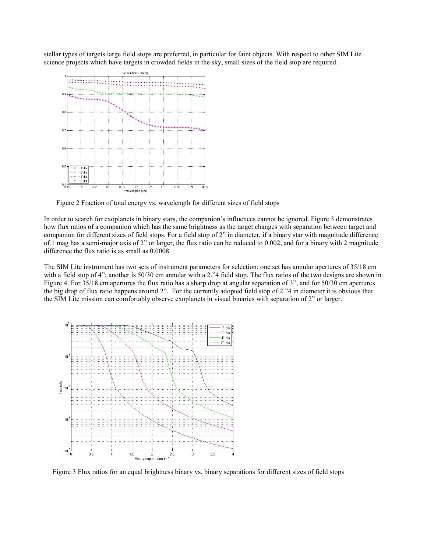stellar types of targets large field stops are preferred, in particular for faint objects. With respect to other SIM Lite science projects which have targets in crowded fields in the sky, small sizes of the field stop are required.



Figure 2 Fraction of total energy vs. wavelength for different sizes of field stops

In order to search for exoplanets in binary stars, the companion's influences cannot be ignored. Figure 3 demonstrates how flux ratios of a companion which has the same brightness as the target changes with separation between target and companion for different sizes of field stops. For a field stop of  $2$ " in diameter, if a binary star with magnitude difference of 1 mag has a semi-major axis of 2" or larger, the flux ratio can be reduced to 0.002, and for a binary with 2 magnitude difference the flux ratio is as small as 0.0008.

The SIM Lite instrument has two sets of instrument parameters for selection: one set has annular apertures of 35/18 cm with a field stop of  $4$ "; another is  $50/30$  cm annular with a 2."4 field stop. The flux ratios of the two designs are shown in Figure 4. For 35/18 cm apertures the flux ratio has a sharp drop at angular separation of 3", and for 50/30 cm apertures the big drop of flux ratio happens around 2". For the currently adopted field stop of 2."4 in diameter it is obvious that the SIM Lite mission can comfortably observe exoplanets in visual binaries with separation of 2" or larger.



Figure 3 Flux ratios for an equal brightness binary vs. binary separations for different sizes of field stops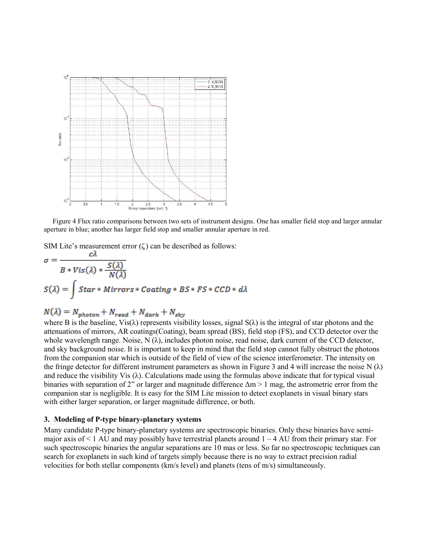

 Figure 4 Flux ratio comparisons between two sets of instrument designs. One has smaller field stop and larger annular aperture in blue; another has larger field stop and smaller annular aperture in red.

SIM Lite's measurement error  $(\zeta)$  can be described as follows:

$$
\sigma = \frac{C\lambda}{B * Vis(\lambda) * \frac{S(\lambda)}{N(\lambda)}}
$$
  

$$
S(\lambda) = \int Star * Mirrors * Coating * BS * FS * CCD * d\lambda
$$

$$
N(\lambda) = N_{photon} + N_{read} + N_{dark} + N_{sky}
$$

where B is the baseline,  $Vis(\lambda)$  represents visibility losses, signal  $S(\lambda)$  is the integral of star photons and the attenuations of mirrors, AR coatings(Coating), beam spread (BS), field stop (FS), and CCD detector over the whole wavelength range. Noise, N  $(\lambda)$ , includes photon noise, read noise, dark current of the CCD detector, and sky background noise. It is important to keep in mind that the field stop cannot fully obstruct the photons from the companion star which is outside of the field of view of the science interferometer. The intensity on the fringe detector for different instrument parameters as shown in Figure 3 and 4 will increase the noise N  $(\lambda)$ and reduce the visibility Vis  $(\lambda)$ . Calculations made using the formulas above indicate that for typical visual binaries with separation of 2" or larger and magnitude difference  $\Delta m > 1$  mag, the astrometric error from the companion star is negligible. It is easy for the SIM Lite mission to detect exoplanets in visual binary stars with either larger separation, or larger magnitude difference, or both.

# **3. Modeling of P-type binary-planetary systems**

Many candidate P-type binary-planetary systems are spectroscopic binaries. Only these binaries have semimajor axis of  $\leq 1$  AU and may possibly have terrestrial planets around  $1 - 4$  AU from their primary star. For such spectroscopic binaries the angular separations are 10 mas or less. So far no spectroscopic techniques can search for exoplanets in such kind of targets simply because there is no way to extract precision radial velocities for both stellar components (km/s level) and planets (tens of m/s) simultaneously.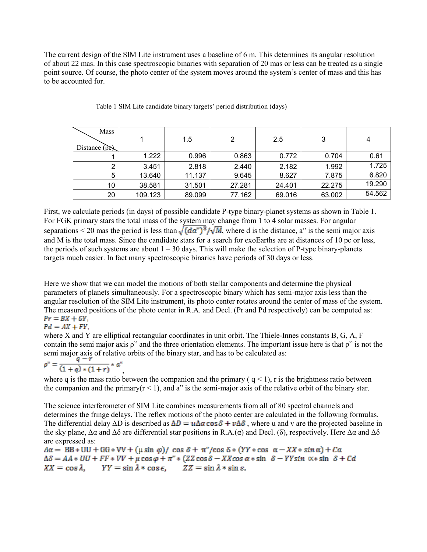The current design of the SIM Lite instrument uses a baseline of 6 m. This determines its angular resolution of about 22 mas. In this case spectroscopic binaries with separation of 20 mas or less can be treated as a single point source. Of course, the photo center of the system moves around the system's center of mass and this has to be accounted for.

| Mass<br>Distance $(\tilde{p}\tilde{c})$ |         | 1.5    | 2      | 2.5    | 3      | 4      |
|-----------------------------------------|---------|--------|--------|--------|--------|--------|
|                                         | 1.222   | 0.996  | 0.863  | 0.772  | 0.704  | 0.61   |
|                                         | 3.451   | 2.818  | 2.440  | 2.182  | 1.992  | 1.725  |
| 5                                       | 13.640  | 11.137 | 9.645  | 8.627  | 7.875  | 6.820  |
| 10                                      | 38.581  | 31.501 | 27.281 | 24.401 | 22.275 | 19.290 |
| 20                                      | 109.123 | 89.099 | 77.162 | 69.016 | 63.002 | 54.562 |

Table 1 SIM Lite candidate binary targets' period distribution (days)

First, we calculate periods (in days) of possible candidate P-type binary-planet systems as shown in Table 1. For FGK primary stars the total mass of the system may change from 1 to 4 solar masses. For angular separations < 20 mas the period is less than  $\sqrt{(da^{\prime\prime})^3}/\sqrt{M}$ , where d is the distance, a" is the semi major axis and M is the total mass. Since the candidate stars for a search for exoEarths are at distances of 10 pc or less, the periods of such systems are about  $1 - 30$  days. This will make the selection of P-type binary-planets targets much easier. In fact many spectroscopic binaries have periods of 30 days or less.

Here we show that we can model the motions of both stellar components and determine the physical parameters of planets simultaneously. For a spectroscopic binary which has semi-major axis less than the angular resolution of the SIM Lite instrument, its photo center rotates around the center of mass of the system. The measured positions of the photo center in R.A. and Decl. (Pr and Pd respectively) can be computed as:<br> $Pr = BX + GY$ .

$$
Pd = AX + FY,
$$

where X and Y are elliptical rectangular coordinates in unit orbit. The Thiele-Innes constants B, G, A, F contain the semi major axis  $\rho$ " and the three orientation elements. The important issue here is that  $\rho$ " is not the semi major axis of relative orbits of the binary star, and has to be calculated as:

$$
\rho^n = \frac{q-r}{(1+q)*(1+r)} * a^n
$$

, where q is the mass ratio between the companion and the primary  $(q < 1)$ , r is the brightness ratio between the companion and the primary( $r < 1$ ), and a" is the semi-major axis of the relative orbit of the binary star.

The science interferometer of SIM Lite combines measurements from all of 80 spectral channels and determines the fringe delays. The reflex motions of the photo center are calculated in the following formulas. The differential delay  $\Delta D$  is described as  $\Delta D = u \Delta \alpha \cos \delta + v \Delta \delta$ , where u and v are the projected baseline in the sky plane,  $\Delta \alpha$  and  $\Delta \delta$  are differential star positions in R.A.( $\alpha$ ) and Decl. (δ), respectively. Here  $\Delta \alpha$  and  $\Delta \delta$ are expressed as:

 $\Delta \alpha = BB * UU + GG * VV + (\mu \sin \varphi)/\cos \delta + \pi''/\cos \delta * (YY * \cos \alpha - XX * \sin \alpha) + Ca$  $\Delta \delta = AA * UU + FF * VV + \mu \cos \varphi + \pi'' * (ZZ \cos \delta - XX \cos \alpha * \sin \delta - YY \sin \alpha * \sin \delta + Cd$  $XX = \cos \lambda$ ,  $YY = \sin \lambda * \cos \epsilon$ ,  $ZZ = \sin \lambda * \sin \epsilon$ .